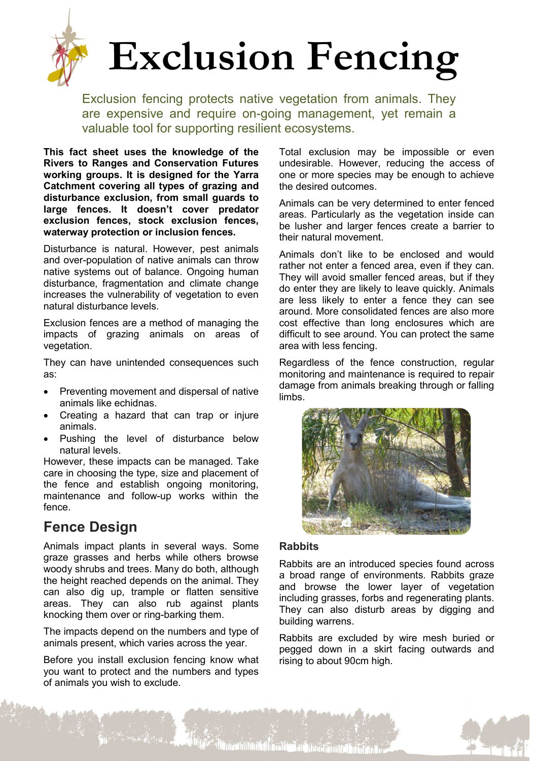

Exclusion fencing protects native vegetation from animals. They are expensive and require on-going management, yet remain a valuable tool for supporting resilient ecosystems.

**This fact sheet uses the knowledge of the Rivers to Ranges and Conservation Futures working groups. It is designed for the Yarra Catchment covering all types of grazing and disturbance exclusion, from small guards to large fences. It doesn't cover predator exclusion fences, stock exclusion fences, waterway protection or inclusion fences.**

Disturbance is natural. However, pest animals and over-population of native animals can throw native systems out of balance. Ongoing human disturbance, fragmentation and climate change increases the vulnerability of vegetation to even natural disturbance levels.

Exclusion fences are a method of managing the impacts of grazing animals on areas of vegetation.

They can have unintended consequences such as:

- Preventing movement and dispersal of native animals like echidnas.
- Creating a hazard that can trap or injure animals.
- Pushing the level of disturbance below natural levels.

However, these impacts can be managed. Take care in choosing the type, size and placement of the fence and establish ongoing monitoring, maintenance and follow-up works within the fence.

# **Fence Design**

Animals impact plants in several ways. Some graze grasses and herbs while others browse woody shrubs and trees. Many do both, although the height reached depends on the animal. They can also dig up, trample or flatten sensitive areas. They can also rub against plants knocking them over or ring-barking them.

The impacts depend on the numbers and type of animals present, which varies across the year.

Before you install exclusion fencing know what you want to protect and the numbers and types of animals you wish to exclude.

Total exclusion may be impossible or even undesirable. However, reducing the access of one or more species may be enough to achieve the desired outcomes.

Animals can be very determined to enter fenced areas. Particularly as the vegetation inside can be lusher and larger fences create a barrier to their natural movement.

Animals don't like to be enclosed and would rather not enter a fenced area, even if they can. They will avoid smaller fenced areas, but if they do enter they are likely to leave quickly. Animals are less likely to enter a fence they can see around. More consolidated fences are also more cost effective than long enclosures which are difficult to see around. You can protect the same area with less fencing.

Regardless of the fence construction, regular monitoring and maintenance is required to repair damage from animals breaking through or falling limbs.



### **Rabbits**

Rabbits are an introduced species found across a broad range of environments. Rabbits graze and browse the lower layer of vegetation including grasses, forbs and regenerating plants. They can also disturb areas by digging and building warrens.

Rabbits are excluded by wire mesh buried or pegged down in a skirt facing outwards and rising to about 90cm high.

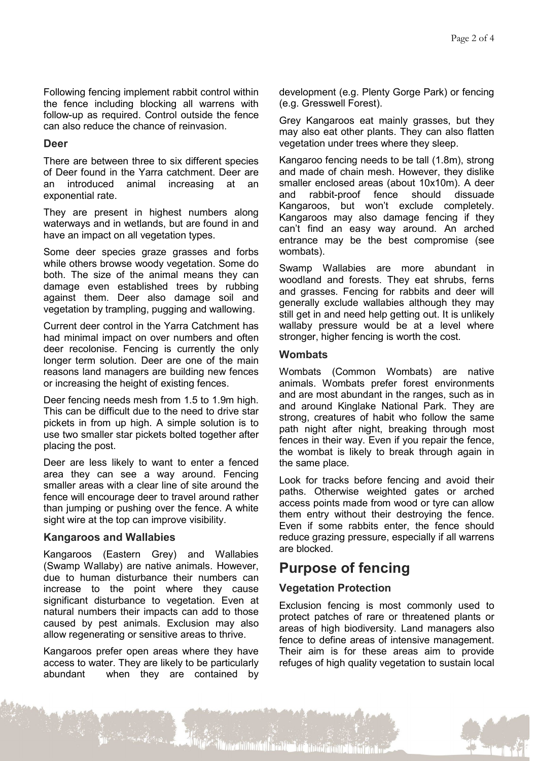Following fencing implement rabbit control within the fence including blocking all warrens with follow-up as required. Control outside the fence can also reduce the chance of reinvasion.

#### **Deer**

There are between three to six different species of Deer found in the Yarra catchment. Deer are an introduced animal increasing at an exponential rate.

They are present in highest numbers along waterways and in wetlands, but are found in and have an impact on all vegetation types.

Some deer species graze grasses and forbs while others browse woody vegetation. Some do both. The size of the animal means they can damage even established trees by rubbing against them. Deer also damage soil and vegetation by trampling, pugging and wallowing.

Current deer control in the Yarra Catchment has had minimal impact on over numbers and often deer recolonise. Fencing is currently the only longer term solution. Deer are one of the main reasons land managers are building new fences or increasing the height of existing fences.

Deer fencing needs mesh from 1.5 to 1.9m high. This can be difficult due to the need to drive star pickets in from up high. A simple solution is to use two smaller star pickets bolted together after placing the post.

Deer are less likely to want to enter a fenced area they can see a way around. Fencing smaller areas with a clear line of site around the fence will encourage deer to travel around rather than jumping or pushing over the fence. A white sight wire at the top can improve visibility.

### **Kangaroos and Wallabies**

Kangaroos (Eastern Grey) and Wallabies (Swamp Wallaby) are native animals. However, due to human disturbance their numbers can increase to the point where they cause significant disturbance to vegetation. Even at natural numbers their impacts can add to those caused by pest animals. Exclusion may also allow regenerating or sensitive areas to thrive.

Kangaroos prefer open areas where they have access to water. They are likely to be particularly abundant when they are contained by

development (e.g. Plenty Gorge Park) or fencing (e.g. Gresswell Forest).

Grey Kangaroos eat mainly grasses, but they may also eat other plants. They can also flatten vegetation under trees where they sleep.

Kangaroo fencing needs to be tall (1.8m), strong and made of chain mesh. However, they dislike smaller enclosed areas (about 10x10m). A deer and rabbit-proof fence should dissuade Kangaroos, but won't exclude completely. Kangaroos may also damage fencing if they can't find an easy way around. An arched entrance may be the best compromise (see wombats).

Swamp Wallabies are more abundant in woodland and forests. They eat shrubs, ferns and grasses. Fencing for rabbits and deer will generally exclude wallabies although they may still get in and need help getting out. It is unlikely wallaby pressure would be at a level where stronger, higher fencing is worth the cost.

### **Wombats**

Wombats (Common Wombats) are native animals. Wombats prefer forest environments and are most abundant in the ranges, such as in and around Kinglake National Park. They are strong, creatures of habit who follow the same path night after night, breaking through most fences in their way. Even if you repair the fence, the wombat is likely to break through again in the same place.

Look for tracks before fencing and avoid their paths. Otherwise weighted gates or arched access points made from wood or tyre can allow them entry without their destroying the fence. Even if some rabbits enter, the fence should reduce grazing pressure, especially if all warrens are blocked.

# **Purpose of fencing**

## **Vegetation Protection**

Exclusion fencing is most commonly used to protect patches of rare or threatened plants or areas of high biodiversity. Land managers also fence to define areas of intensive management. Their aim is for these areas aim to provide refuges of high quality vegetation to sustain local

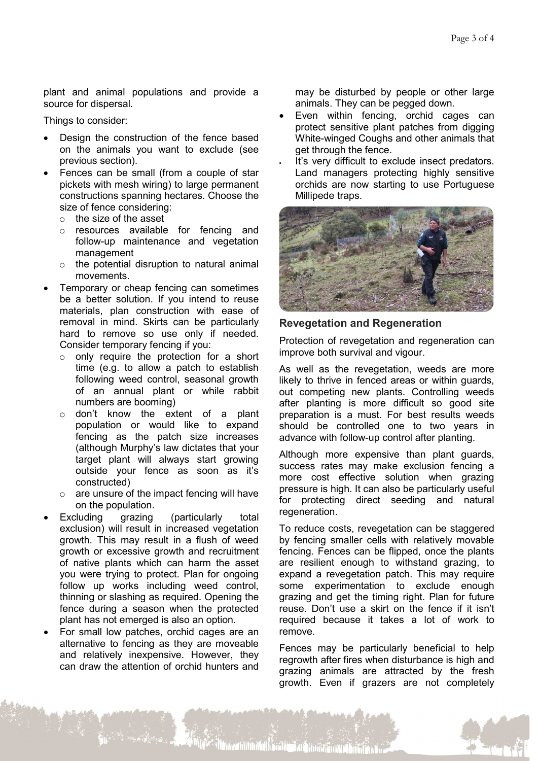plant and animal populations and provide a source for dispersal.

Things to consider:

- Design the construction of the fence based on the animals you want to exclude (see previous section).
- Fences can be small (from a couple of star pickets with mesh wiring) to large permanent constructions spanning hectares. Choose the size of fence considering:
	- $\circ$  the size of the asset
	- o resources available for fencing and follow-up maintenance and vegetation management
	- o the potential disruption to natural animal movements.
- Temporary or cheap fencing can sometimes be a better solution. If you intend to reuse materials, plan construction with ease of removal in mind. Skirts can be particularly hard to remove so use only if needed. Consider temporary fencing if you:
	- $\circ$  only require the protection for a short time (e.g. to allow a patch to establish following weed control, seasonal growth of an annual plant or while rabbit numbers are booming)
	- o don't know the extent of a plant population or would like to expand fencing as the patch size increases (although Murphy's law dictates that your target plant will always start growing outside your fence as soon as it's constructed)
	- $\circ$  are unsure of the impact fencing will have on the population.
- Excluding grazing (particularly total exclusion) will result in increased vegetation growth. This may result in a flush of weed growth or excessive growth and recruitment of native plants which can harm the asset you were trying to protect. Plan for ongoing follow up works including weed control, thinning or slashing as required. Opening the fence during a season when the protected plant has not emerged is also an option.
- For small low patches, orchid cages are an alternative to fencing as they are moveable and relatively inexpensive. However, they can draw the attention of orchid hunters and

may be disturbed by people or other large animals. They can be pegged down.

- Even within fencing, orchid cages can protect sensitive plant patches from digging White-winged Coughs and other animals that get through the fence.
- It's very difficult to exclude insect predators. Land managers protecting highly sensitive orchids are now starting to use Portuguese Millipede traps.



#### **Revegetation and Regeneration**

Protection of revegetation and regeneration can improve both survival and vigour.

As well as the revegetation, weeds are more likely to thrive in fenced areas or within guards, out competing new plants. Controlling weeds after planting is more difficult so good site preparation is a must. For best results weeds should be controlled one to two years in advance with follow-up control after planting.

Although more expensive than plant guards, success rates may make exclusion fencing a more cost effective solution when grazing pressure is high. It can also be particularly useful for protecting direct seeding and natural regeneration.

To reduce costs, revegetation can be staggered by fencing smaller cells with relatively movable fencing. Fences can be flipped, once the plants are resilient enough to withstand grazing, to expand a revegetation patch. This may require some experimentation to exclude enough grazing and get the timing right. Plan for future reuse. Don't use a skirt on the fence if it isn't required because it takes a lot of work to remove.

Fences may be particularly beneficial to help regrowth after fires when disturbance is high and grazing animals are attracted by the fresh growth. Even if grazers are not completely